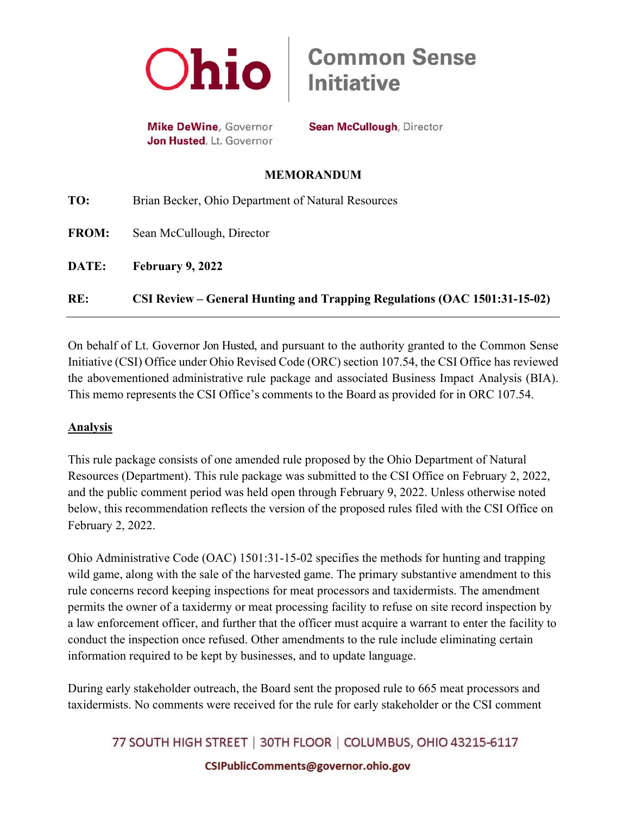

**Mike DeWine, Governor** Jon Husted, Lt. Governor

**Sean McCullough, Director** 

**Initiative** 

**Common Sense** 

## **MEMORANDUM**

| RE:          | CSI Review – General Hunting and Trapping Regulations (OAC 1501:31-15-02) |
|--------------|---------------------------------------------------------------------------|
| DATE:        | February 9, 2022                                                          |
| <b>FROM:</b> | Sean McCullough, Director                                                 |
| TO:          | Brian Becker, Ohio Department of Natural Resources                        |

On behalf of Lt. Governor Jon Husted, and pursuant to the authority granted to the Common Sense Initiative (CSI) Office under Ohio Revised Code (ORC) section 107.54, the CSI Office has reviewed the abovementioned administrative rule package and associated Business Impact Analysis (BIA). This memo represents the CSI Office's comments to the Board as provided for in ORC 107.54.

## **Analysis**

This rule package consists of one amended rule proposed by the Ohio Department of Natural Resources (Department). This rule package was submitted to the CSI Office on February 2, 2022, and the public comment period was held open through February 9, 2022. Unless otherwise noted below, this recommendation reflects the version of the proposed rules filed with the CSI Office on February 2, 2022.

Ohio Administrative Code (OAC) 1501:31-15-02 specifies the methods for hunting and trapping wild game, along with the sale of the harvested game. The primary substantive amendment to this rule concerns record keeping inspections for meat processors and taxidermists. The amendment permits the owner of a taxidermy or meat processing facility to refuse on site record inspection by a law enforcement officer, and further that the officer must acquire a warrant to enter the facility to conduct the inspection once refused. Other amendments to the rule include eliminating certain information required to be kept by businesses, and to update language.

During early stakeholder outreach, the Board sent the proposed rule to 665 meat processors and taxidermists. No comments were received for the rule for early stakeholder or the CSI comment

77 SOUTH HIGH STREET | 30TH FLOOR | COLUMBUS, OHIO 43215-6117 CSIPublicComments@governor.ohio.gov